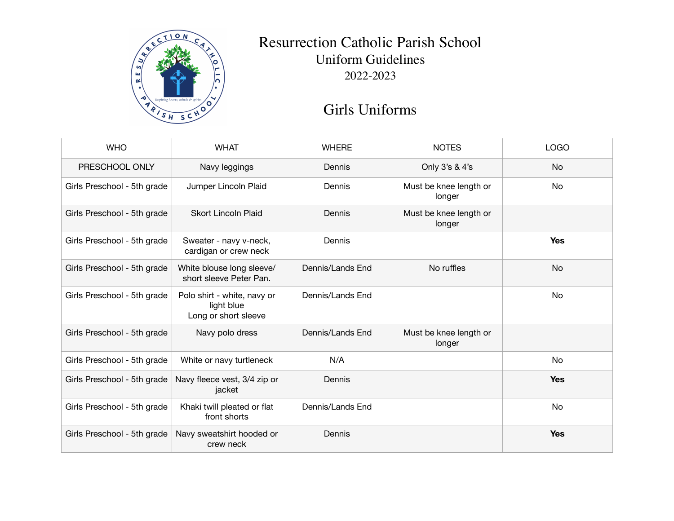

## Resurrection Catholic Parish School Uniform Guidelines 2022-2023

## Girls Uniforms

| <b>WHO</b>                  | <b>WHAT</b>                                                       | <b>WHERE</b>     | <b>NOTES</b>                     | <b>LOGO</b> |
|-----------------------------|-------------------------------------------------------------------|------------------|----------------------------------|-------------|
| PRESCHOOL ONLY              | Navy leggings                                                     | Dennis           | Only 3's & 4's                   | No          |
| Girls Preschool - 5th grade | Jumper Lincoln Plaid                                              | Dennis           | Must be knee length or<br>longer | No          |
| Girls Preschool - 5th grade | <b>Skort Lincoln Plaid</b>                                        | Dennis           | Must be knee length or<br>longer |             |
| Girls Preschool - 5th grade | Sweater - navy v-neck,<br>cardigan or crew neck                   | Dennis           |                                  | <b>Yes</b>  |
| Girls Preschool - 5th grade | White blouse long sleeve/<br>short sleeve Peter Pan.              | Dennis/Lands End | No ruffles                       | <b>No</b>   |
| Girls Preschool - 5th grade | Polo shirt - white, navy or<br>light blue<br>Long or short sleeve | Dennis/Lands End |                                  | No          |
| Girls Preschool - 5th grade | Navy polo dress                                                   | Dennis/Lands End | Must be knee length or<br>longer |             |
| Girls Preschool - 5th grade | White or navy turtleneck                                          | N/A              |                                  | <b>No</b>   |
| Girls Preschool - 5th grade | Navy fleece vest, 3/4 zip or<br>jacket                            | Dennis           |                                  | <b>Yes</b>  |
| Girls Preschool - 5th grade | Khaki twill pleated or flat<br>front shorts                       | Dennis/Lands End |                                  | <b>No</b>   |
| Girls Preschool - 5th grade | Navy sweatshirt hooded or<br>crew neck                            | Dennis           |                                  | <b>Yes</b>  |